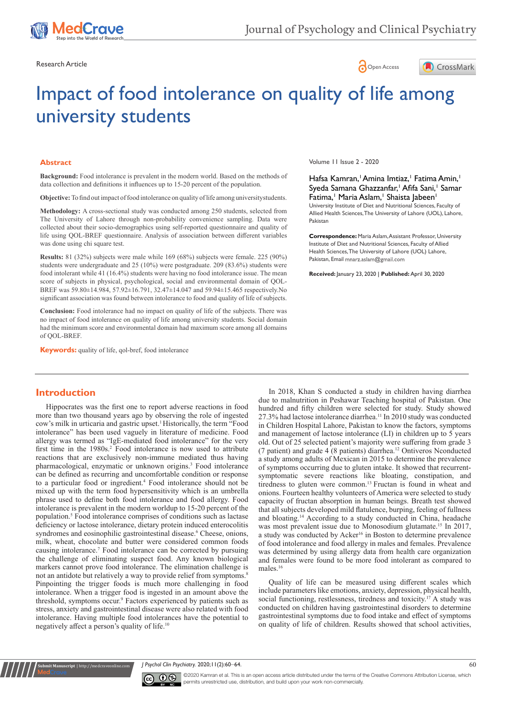





# Impact of food intolerance on quality of life among university students

#### **Abstract**

**Background:** Food intolerance is prevalent in the modern world. Based on the methods of data collection and definitions it influences up to 15-20 percent of the population.

**Objective:** To find out impact of food intolerance on quality of life among universitystudents.

**Methodology:** A cross-sectional study was conducted among 250 students, selected from The University of Lahore through non-probability convenience sampling. Data were collected about their socio-demographics using self-reported questionnaire and quality of life using QOL-BREF questionnaire. Analysis of association between different variables was done using chi square test.

**Results:** 81 (32%) subjects were male while 169 (68%) subjects were female. 225 (90%) students were undergraduate and 25 (10%) were postgraduate. 209 (83.6%) students were food intolerant while 41 (16.4%) students were having no food intolerance issue. The mean score of subjects in physical, psychological, social and environmental domain of QOL-BREF was 59.80±14.984, 57.92±16.791, 32.47±14.047 and 59.94±15.465 respectively.No significant association was found between intolerance to food and quality of life of subjects.

**Conclusion:** Food intolerance had no impact on quality of life of the subjects. There was no impact of food intolerance on quality of life among university students. Social domain had the minimum score and environmental domain had maximum score among all domains of QOL-BREF.

**Keywords:** quality of life, qol-bref, food intolerance

## **Introduction**

**nit Manuscript** | http://medcraveonline.

Hippocrates was the first one to report adverse reactions in food more than two thousand years ago by observing the role of ingested cow's milk in urticaria and gastric upset.<sup>1</sup> Historically, the term "Food intolerance" has been used vaguely in literature of medicine. Food allergy was termed as "IgE-mediated food intolerance" for the very first time in the 1980s.<sup>2</sup> Food intolerance is now used to attribute reactions that are exclusively non-immune mediated thus having pharmacological, enzymatic or unknown origins.<sup>3</sup> Food intolerance can be defined as recurring and uncomfortable condition or response to a particular food or ingredient.<sup>4</sup> Food intolerance should not be mixed up with the term food hypersensitivity which is an umbrella phrase used to define both food intolerance and food allergy. Food intolerance is prevalent in the modern worldup to 15-20 percent of the population.<sup>5</sup> Food intolerance comprises of conditions such as lactase deficiency or lactose intolerance, dietary protein induced enterocolitis syndromes and eosinophilic gastrointestinal disease.<sup>6</sup> Cheese, onions, milk, wheat, chocolate and butter were considered common foods causing intolerance.<sup>7</sup> Food intolerance can be corrected by pursuing the challenge of eliminating suspect food. Any known biological markers cannot prove food intolerance. The elimination challenge is not an antidote but relatively a way to provide relief from symptoms.<sup>8</sup> Pinpointing the trigger foods is much more challenging in food intolerance. When a trigger food is ingested in an amount above the threshold, symptoms occur.<sup>9</sup> Factors experienced by patients such as stress, anxiety and gastrointestinal disease were also related with food intolerance. Having multiple food intolerances have the potential to negatively affect a person's quality of life.10

Volume 11 Issue 2 - 2020

#### Hafsa Kamran, Amina Imtiaz, Fatima Amin, 1 Syeda Samana Ghazzanfar,<sup>1</sup> Afifa Sani,<sup>1</sup> Samar Fatima,<sup>1</sup> Maria Aslam,<sup>1</sup> Shaista Jabeen<sup>1</sup>

University Institute of Diet and Nutritional Sciences, Faculty of Allied Health Sciences, The University of Lahore (UOL), Lahore, Pakistan

**Correspondence:** Maria Aslam, Assistant Professor, University Institute of Diet and Nutritional Sciences, Faculty of Allied Health Sciences, The University of Lahore (UOL) Lahore, Pakistan, Email mnarz.aslam@gmail.com

**Received:** January 23, 2020 | **Published:** April 30, 2020

In 2018, Khan S conducted a study in children having diarrhea due to malnutrition in Peshawar Teaching hospital of Pakistan. One hundred and fifty children were selected for study. Study showed 27.3% had lactose intolerance diarrhea.<sup>11</sup> In 2010 study was conducted in Children Hospital Lahore, Pakistan to know the factors, symptoms and management of lactose intolerance (LI) in children up to 5 years old. Out of 25 selected patient's majority were suffering from grade 3 (7 patient) and grade 4 (8 patients) diarrhea.<sup>12</sup> Ontiveros Nconducted a study among adults of Mexican in 2015 to determine the prevalence of symptoms occurring due to gluten intake. It showed that recurrentsymptomatic severe reactions like bloating, constipation, and tiredness to gluten were common.<sup>13</sup> Fructan is found in wheat and onions. Fourteen healthy volunteers of America were selected to study capacity of fructan absorption in human beings. Breath test showed that all subjects developed mild flatulence, burping, feeling of fullness and bloating.<sup>14</sup> According to a study conducted in China, headache was most prevalent issue due to Monosodium glutamate.15 In 2017, a study was conducted by Acker<sup>16</sup> in Boston to determine prevalence of food intolerance and food allergy in males and females. Prevalence was determined by using allergy data from health care organization and females were found to be more food intolerant as compared to males.<sup>16</sup>

Quality of life can be measured using different scales which include parameters like emotions, anxiety, depression, physical health, social functioning, restlessness, tiredness and toxicity.<sup>17</sup> A study was conducted on children having gastrointestinal disorders to determine gastrointestinal symptoms due to food intake and effect of symptoms on quality of life of children. Results showed that school activities,

*J Psychol Clin Psychiatry.* 2020;11(2):60‒64. 60



©2020 Kamran et al. This is an open access article distributed under the terms of the [Creative Commons Attribution License,](https://creativecommons.org/licenses/by-nc/4.0/) which permits unrestricted use, distribution, and build upon your work non-commercially.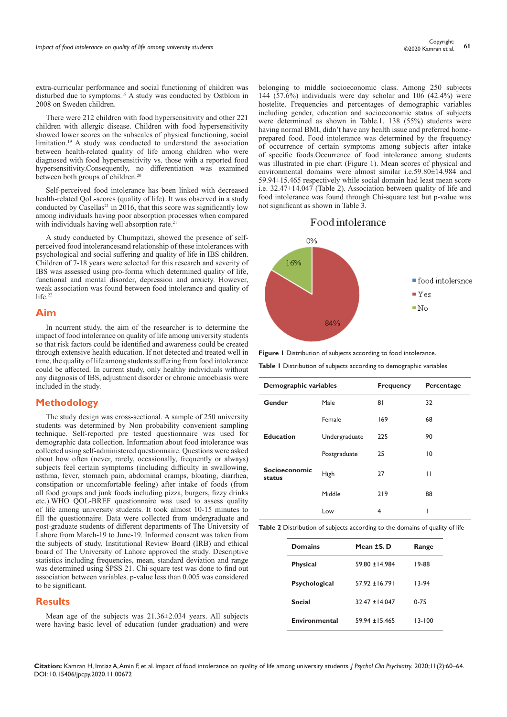extra-curricular performance and social functioning of children was disturbed due to symptoms.18 A study was conducted by Ostblom in 2008 on Sweden children.

There were 212 children with food hypersensitivity and other 221 children with allergic disease. Children with food hypersensitivity showed lower scores on the subscales of physical functioning, social limitation.19 A study was conducted to understand the association between health-related quality of life among children who were diagnosed with food hypersensitivity vs. those with a reported food hypersensitivity.Consequently, no differentiation was examined between both groups of children.<sup>20</sup>

Self-perceived food intolerance has been linked with decreased health-related QoL-scores (quality of life). It was observed in a study conducted by Casellas<sup>21</sup> in 2016, that this score was significantly low among individuals having poor absorption processes when compared with individuals having well absorption rate.<sup>21</sup>

A study conducted by Chumpitazi, showed the presence of selfperceived food intolerancesand relationship of these intolerances with psychological and social suffering and quality of life in IBS children. Children of 7-18 years were selected for this research and severity of IBS was assessed using pro-forma which determined quality of life, functional and mental disorder, depression and anxiety. However, weak association was found between food intolerance and quality of life.<sup>22</sup>

## **Aim**

In ncurrent study, the aim of the researcher is to determine the impact of food intolerance on quality of life among university students so that risk factors could be identified and awareness could be created through extensive health education. If not detected and treated well in time, the quality of life among students suffering from food intolerance could be affected. In current study, only healthy individuals without any diagnosis of IBS, adjustment disorder or chronic amoebiasis were included in the study.

#### **Methodology**

The study design was cross-sectional. A sample of 250 university students was determined by Non probability convenient sampling technique. Self-reported pre tested questionnaire was used for demographic data collection. Information about food intolerance was collected using self-administered questionnaire. Questions were asked about how often (never, rarely, occasionally, frequently or always) subjects feel certain symptoms (including difficulty in swallowing, asthma, fever, stomach pain, abdominal cramps, bloating, diarrhea, constipation or uncomfortable feeling) after intake of foods (from all food groups and junk foods including pizza, burgers, fizzy drinks etc.).WHO QOL-BREF questionnaire was used to assess quality of life among university students. It took almost 10-15 minutes to fill the questionnaire. Data were collected from undergraduate and post-graduate students of different departments of The University of Lahore from March-19 to June-19. Informed consent was taken from the subjects of study. Institutional Review Board (IRB) and ethical board of The University of Lahore approved the study. Descriptive statistics including frequencies, mean, standard deviation and range was determined using SPSS 21. Chi-square test was done to find out association between variables. p-value less than 0.005 was considered to be significant.

#### **Results**

Mean age of the subjects was 21.36±2.034 years. All subjects were having basic level of education (under graduation) and were

belonging to middle socioeconomic class. Among 250 subjects 144 (57.6%) individuals were day scholar and 106 (42.4%) were hostelite. Frequencies and percentages of demographic variables including gender, education and socioeconomic status of subjects were determined as shown in Table.1. 138 (55%) students were having normal BMI, didn't have any health issue and preferred homeprepared food. Food intolerance was determined by the frequency of occurrence of certain symptoms among subjects after intake of specific foods.Occurrence of food intolerance among students was illustrated in pie chart (Figure 1). Mean scores of physical and environmental domains were almost similar i.e.59.80±14.984 and 59.94±15.465 respectively while social domain had least mean score i.e. 32.47±14.047 (Table 2). Association between quality of life and food intolerance was found through Chi-square test but p-value was not significant as shown in Table 3.

## Food intolerance



**Figure 1** Distribution of subjects according to food intolerance.

**Table 1** Distribution of subjects according to demographic variables

| Demographic variables   |               | <b>Frequency</b> | Percentage     |  |
|-------------------------|---------------|------------------|----------------|--|
| Gender                  | Male          | 81               | 32             |  |
|                         | Female        | 169              | 68             |  |
| <b>Education</b>        | Undergraduate | 225              | 90             |  |
|                         | Postgraduate  | 25               | $\overline{0}$ |  |
| Socioeconomic<br>status | High          | 27               | П              |  |
|                         | Middle        | 219              | 88             |  |
|                         | Low           | 4                | ı              |  |

**Table 2** Distribution of subjects according to the domains of quality of life

| <b>Domains</b>  | Mean ±S. D       | Range      |
|-----------------|------------------|------------|
| <b>Physical</b> | $59.80 + 14.984$ | 19-88      |
| Psychological   | $57.92 + 16.791$ | $13-94$    |
| Social          | $32.47 + 14.047$ | $0 - 75$   |
| Environmental   | $59.94 + 15.465$ | $13 - 100$ |

**Citation:** Kamran H, Imtiaz A, Amin F, et al. Impact of food intolerance on quality of life among university students. *J Psychol Clin Psychiatry.* 2020;11(2):60‒64. DOI: [10.15406/jpcpy.2020.11.00672](https://doi.org/10.15406/jpcpy.2020.11.00672)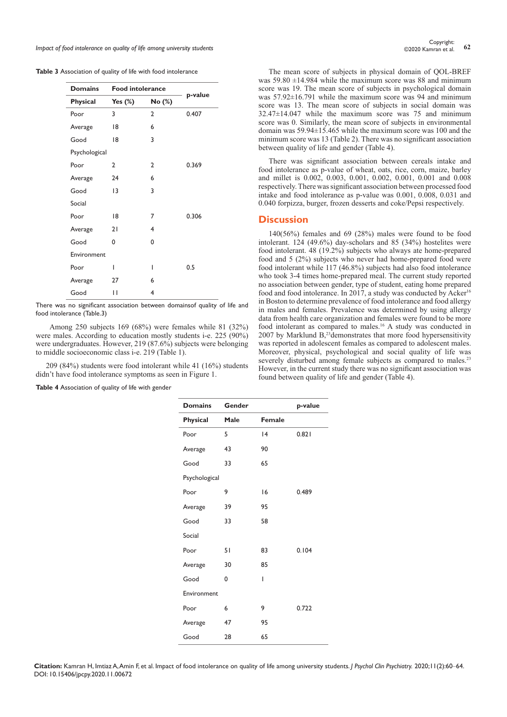*Impact of food intolerance on quality of life among university students* **62** Copyright: **62** Copyright: **62** Copyright: **62** Copyright: **62** Copyright: **62** Copyright: **62** Copyright: **62** Copyright: **62** Contains at al.

| <b>Table 3</b> Association of quality of life with food intolerance |  |  |  |
|---------------------------------------------------------------------|--|--|--|
|---------------------------------------------------------------------|--|--|--|

| <b>Domains</b>  | <b>Food intolerance</b> |                |         |
|-----------------|-------------------------|----------------|---------|
| <b>Physical</b> | Yes $(\%)$              | No (%)         | p-value |
| Poor            | 3                       | $\overline{2}$ | 0.407   |
| Average         | 18                      | 6              |         |
| Good            | 18                      | 3              |         |
| Psychological   |                         |                |         |
| Poor            | $\overline{2}$          | $\mathbf{2}$   | 0.369   |
| Average         | 24                      | 6              |         |
| Good            | 13                      | 3              |         |
| Social          |                         |                |         |
| Poor            | 18                      | 7              | 0.306   |
| Average         | 21                      | 4              |         |
| Good            | 0                       | 0              |         |
| Environment     |                         |                |         |
| Poor            | ı                       | I              | 0.5     |
| Average         | 27                      | 6              |         |
| Good            | П                       | 4              |         |

There was no significant association between domainsof quality of life and food intolerance (Table.3)

Among 250 subjects 169 (68%) were females while 81 (32%) were males. According to education mostly students i-e. 225 (90%) were undergraduates. However, 219 (87.6%) subjects were belonging to middle socioeconomic class i-e. 219 (Table 1).

209 (84%) students were food intolerant while 41 (16%) students didn't have food intolerance symptoms as seen in Figure 1.

**Table 4** Association of quality of life with gender

The mean score of subjects in physical domain of QOL-BREF was 59.80 ±14.984 while the maximum score was 88 and minimum score was 19. The mean score of subjects in psychological domain was 57.92±16.791 while the maximum score was 94 and minimum score was 13. The mean score of subjects in social domain was 32.47±14.047 while the maximum score was 75 and minimum score was 0. Similarly, the mean score of subjects in environmental domain was 59.94±15.465 while the maximum score was 100 and the minimum score was 13 (Table 2). There was no significant association between quality of life and gender (Table 4).

There was significant association between cereals intake and food intolerance as p-value of wheat, oats, rice, corn, maize, barley and millet is 0.002, 0.003, 0.001, 0.002, 0.001, 0.001 and 0.008 respectively. There was significant association between processed food intake and food intolerance as p-value was 0.001, 0.008, 0.031 and 0.040 forpizza, burger, frozen desserts and coke/Pepsi respectively.

#### **Discussion**

140(56%) females and 69 (28%) males were found to be food intolerant. 124 (49.6%) day-scholars and 85 (34%) hostelites were food intolerant. 48 (19.2%) subjects who always ate home-prepared food and 5 (2%) subjects who never had home-prepared food were food intolerant while 117 (46.8%) subjects had also food intolerance who took 3-4 times home-prepared meal. The current study reported no association between gender, type of student, eating home prepared food and food intolerance. In 2017, a study was conducted by Acker<sup>16</sup> in Boston to determine prevalence of food intolerance and food allergy in males and females. Prevalence was determined by using allergy data from health care organization and females were found to be more food intolerant as compared to males.<sup>16</sup> A study was conducted in 2007 by Marklund  $B$ ,<sup>23</sup> demonstrates that more food hypersensitivity was reported in adolescent females as compared to adolescent males. Moreover, physical, psychological and social quality of life was severely disturbed among female subjects as compared to males.<sup>23</sup> However, in the current study there was no significant association was found between quality of life and gender (Table 4).

| <b>Domains</b>  | Gender |               | p-value |
|-----------------|--------|---------------|---------|
| <b>Physical</b> | Male   | <b>Female</b> |         |
| Poor            | 5      | 4             | 0.821   |
| Average         | 43     | 90            |         |
| Good            | 33     | 65            |         |
| Psychological   |        |               |         |
| Poor            | 9      | 16            | 0.489   |
| Average         | 39     | 95            |         |
| Good            | 33     | 58            |         |
| Social          |        |               |         |
| Poor            | 51     | 83            | 0.104   |
| Average         | 30     | 85            |         |
| Good            | 0      | I             |         |
| Environment     |        |               |         |
| Poor            | 6      | 9             | 0.722   |
| Average         | 47     | 95            |         |
| Good            | 28     | 65            |         |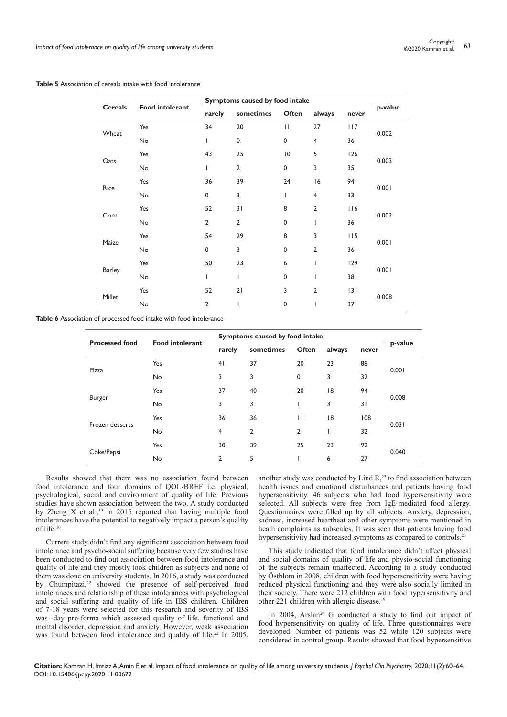| <b>Table 5</b> Association of cereals intake with food intolerance |
|--------------------------------------------------------------------|
|--------------------------------------------------------------------|

| <b>Cereals</b> |                        | Symptoms caused by food intake |                |                 |                |       |         |
|----------------|------------------------|--------------------------------|----------------|-----------------|----------------|-------|---------|
|                | <b>Food intolerant</b> | rarely                         | sometimes      | Often           | always         | never | p-value |
|                | Yes                    | 34                             | 20             | $\mathbf{H}$    | 27             | 117   |         |
| Wheat          | No                     | I                              | 0              | 0               | $\overline{4}$ | 36    | 0.002   |
|                | Yes                    | 43                             | 25             | $\overline{10}$ | 5              | 126   |         |
| Oats           | No                     | I                              | $\overline{2}$ | $\mathbf 0$     | 3              | 35    | 0.003   |
|                | Yes                    | 36                             | 39             | 24              | 16             | 94    |         |
| Rice           | No                     | 0                              | 3              | $\overline{1}$  | $\overline{4}$ | 33    | 0.001   |
|                | Yes                    | 52                             | 31             | 8               | $\overline{2}$ | 116   | 0.002   |
| Corn           | No                     | $\overline{2}$                 | $\overline{2}$ | $\mathbf 0$     | I              | 36    |         |
|                | Yes                    | 54                             | 29             | 8               | 3              | 115   | 0.001   |
| Maize          | No                     | 0                              | 3              | $\mathbf 0$     | $\overline{2}$ | 36    |         |
|                | Yes                    | 50                             | 23             | 6               | $\overline{1}$ | 129   |         |
| Barley         | No                     | I                              | T              | $\mathbf 0$     | T              | 38    | 0.001   |
|                | Yes                    | 52                             | 21             | 3               | $\overline{2}$ | 3     |         |
| Millet         | No                     | $\overline{2}$                 | I              | $\mathbf 0$     | I              | 37    | 0.008   |

**Table 6** Association of processed food intake with food intolerance

| <b>Processed food</b> | <b>Food intolerant</b> | Symptoms caused by food intake |           |              |        |       |         |
|-----------------------|------------------------|--------------------------------|-----------|--------------|--------|-------|---------|
|                       |                        | rarely                         | sometimes | Often        | always | never | p-value |
| Pizza                 | Yes                    | 4 <sub>1</sub>                 | 37        | 20           | 23     | 88    | 0.001   |
|                       | No                     | 3                              | 3         | $\mathbf 0$  | 3      | 32    |         |
| <b>Burger</b>         | Yes                    | 37                             | 40        | 20           | 18     | 94    | 0.008   |
|                       | No                     | 3                              | 3         |              | 3      | 31    |         |
| Frozen desserts       | Yes                    | 36                             | 36        | $\mathbf{H}$ | 8      | 108   | 0.031   |
|                       | No                     | 4                              | 2         | 2            |        | 32    |         |
| Coke/Pepsi            | Yes                    | 30                             | 39        | 25           | 23     | 92    |         |
|                       | No                     | 2                              | 5         |              | 6      | 27    | 0.040   |

Results showed that there was no association found between food intolerance and four domains of QOL-BREF i.e. physical, psychological, social and environment of quality of life. Previous studies have shown association between the two. A study conducted by Zheng X et al.,<sup>10</sup> in 2015 reported that having multiple food intolerances have the potential to negatively impact a person's quality of life.10

Current study didn't find any significant association between food intolerance and psycho-social suffering because very few studies have been conducted to find out association between food intolerance and quality of life and they mostly took children as subjects and none of them was done on university students. In 2016, a study was conducted by Chumpitazi,<sup>22</sup> showed the presence of self-perceived food intolerances and relationship of these intolerances with psychological and social suffering and quality of life in IBS children. Children of 7-18 years were selected for this research and severity of IBS was -day pro-forma which assessed quality of life, functional and mental disorder, depression and anxiety. However, weak association was found between food intolerance and quality of life.<sup>22</sup> In 2005,

another study was conducted by Lind  $R<sub>1</sub><sup>23</sup>$  to find association between health issues and emotional disturbances and patients having food hypersensitivity. 46 subjects who had food hypersensitivity were selected. All subjects were free from IgE-mediated food allergy. Questionnaires were filled up by all subjects. Anxiety, depression, sadness, increased heartbeat and other symptoms were mentioned in heath complaints as subscales. It was seen that patients having food hypersensitivity had increased symptoms as compared to controls.<sup>23</sup>

This study indicated that food intolerance didn't affect physical and social domains of quality of life and physio-social functioning of the subjects remain unaffected. According to a study conducted by Östblom in 2008, children with food hypersensitivity were having reduced physical functioning and they were also socially limited in their society. There were 212 children with food hypersensitivity and other 221 children with allergic disease.19

In 2004, Arslan<sup>24</sup> G conducted a study to find out impact of food hypersensitivity on quality of life. Three questionnaires were developed. Number of patients was 52 while 120 subjects were considered in control group. Results showed that food hypersensitive